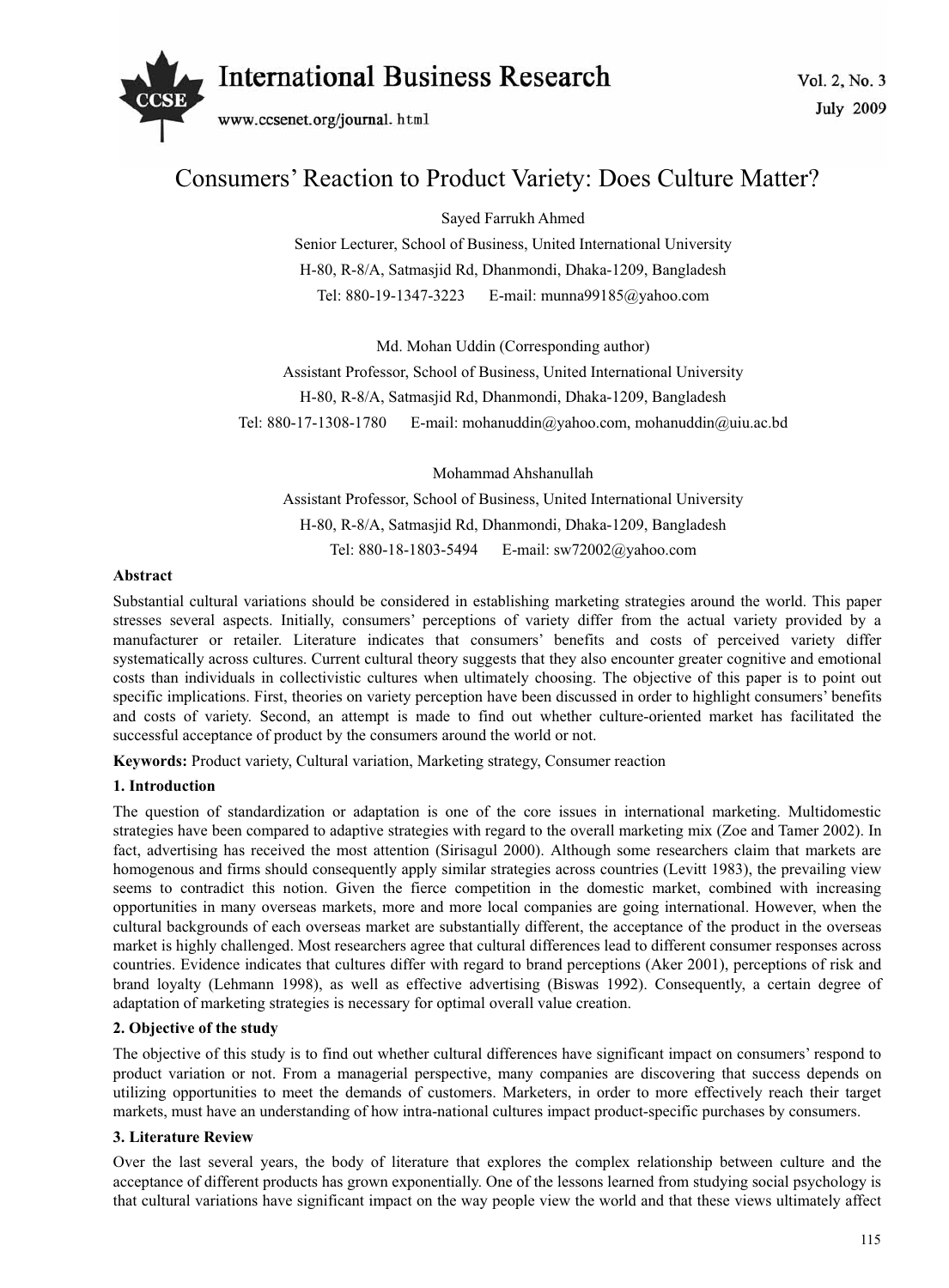# *International Business Research*  $\frac{1}{2}$  Vol. 2, No. 3



# Consumers' Reaction to Product Variety: Does Culture Matter?

Sayed Farrukh Ahmed

Senior Lecturer, School of Business, United International University H-80, R-8/A, Satmasjid Rd, Dhanmondi, Dhaka-1209, Bangladesh Tel: 880-19-1347-3223 E-mail: munna99185@yahoo.com

Md. Mohan Uddin (Corresponding author)

Assistant Professor, School of Business, United International University H-80, R-8/A, Satmasjid Rd, Dhanmondi, Dhaka-1209, Bangladesh

Tel: 880-17-1308-1780 E-mail: mohanuddin@yahoo.com, mohanuddin@uiu.ac.bd

Mohammad Ahshanullah Assistant Professor, School of Business, United International University H-80, R-8/A, Satmasjid Rd, Dhanmondi, Dhaka-1209, Bangladesh Tel: 880-18-1803-5494 E-mail: sw72002@yahoo.com

# **Abstract**

Substantial cultural variations should be considered in establishing marketing strategies around the world. This paper stresses several aspects. Initially, consumers' perceptions of variety differ from the actual variety provided by a manufacturer or retailer. Literature indicates that consumers' benefits and costs of perceived variety differ systematically across cultures. Current cultural theory suggests that they also encounter greater cognitive and emotional costs than individuals in collectivistic cultures when ultimately choosing. The objective of this paper is to point out specific implications. First, theories on variety perception have been discussed in order to highlight consumers' benefits and costs of variety. Second, an attempt is made to find out whether culture-oriented market has facilitated the successful acceptance of product by the consumers around the world or not.

**Keywords:** Product variety, Cultural variation, Marketing strategy, Consumer reaction

# **1. Introduction**

The question of standardization or adaptation is one of the core issues in international marketing. Multidomestic strategies have been compared to adaptive strategies with regard to the overall marketing mix (Zoe and Tamer 2002). In fact, advertising has received the most attention (Sirisagul 2000). Although some researchers claim that markets are homogenous and firms should consequently apply similar strategies across countries (Levitt 1983), the prevailing view seems to contradict this notion. Given the fierce competition in the domestic market, combined with increasing opportunities in many overseas markets, more and more local companies are going international. However, when the cultural backgrounds of each overseas market are substantially different, the acceptance of the product in the overseas market is highly challenged. Most researchers agree that cultural differences lead to different consumer responses across countries. Evidence indicates that cultures differ with regard to brand perceptions (Aker 2001), perceptions of risk and brand loyalty (Lehmann 1998), as well as effective advertising (Biswas 1992). Consequently, a certain degree of adaptation of marketing strategies is necessary for optimal overall value creation.

# **2. Objective of the study**

The objective of this study is to find out whether cultural differences have significant impact on consumers' respond to product variation or not. From a managerial perspective, many companies are discovering that success depends on utilizing opportunities to meet the demands of customers. Marketers, in order to more effectively reach their target markets, must have an understanding of how intra-national cultures impact product-specific purchases by consumers.

#### **3. Literature Review**

Over the last several years, the body of literature that explores the complex relationship between culture and the acceptance of different products has grown exponentially. One of the lessons learned from studying social psychology is that cultural variations have significant impact on the way people view the world and that these views ultimately affect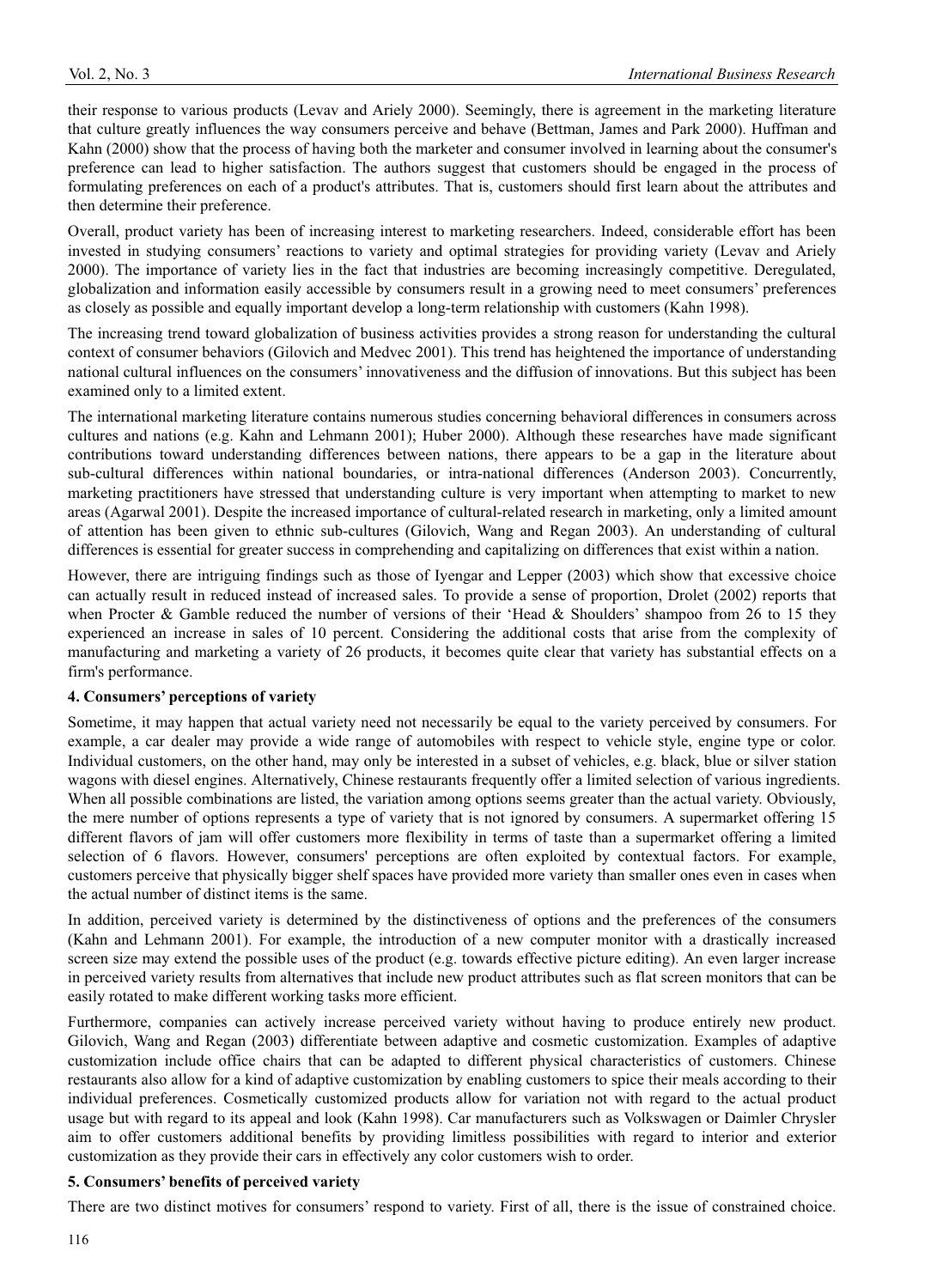their response to various products (Levav and Ariely 2000). Seemingly, there is agreement in the marketing literature that culture greatly influences the way consumers perceive and behave (Bettman, James and Park 2000). Huffman and Kahn (2000) show that the process of having both the marketer and consumer involved in learning about the consumer's preference can lead to higher satisfaction. The authors suggest that customers should be engaged in the process of formulating preferences on each of a product's attributes. That is, customers should first learn about the attributes and then determine their preference.

Overall, product variety has been of increasing interest to marketing researchers. Indeed, considerable effort has been invested in studying consumers' reactions to variety and optimal strategies for providing variety (Levav and Ariely 2000). The importance of variety lies in the fact that industries are becoming increasingly competitive. Deregulated, globalization and information easily accessible by consumers result in a growing need to meet consumers' preferences as closely as possible and equally important develop a long-term relationship with customers (Kahn 1998).

The increasing trend toward globalization of business activities provides a strong reason for understanding the cultural context of consumer behaviors (Gilovich and Medvec 2001). This trend has heightened the importance of understanding national cultural influences on the consumers' innovativeness and the diffusion of innovations. But this subject has been examined only to a limited extent.

The international marketing literature contains numerous studies concerning behavioral differences in consumers across cultures and nations (e.g. Kahn and Lehmann 2001); Huber 2000). Although these researches have made significant contributions toward understanding differences between nations, there appears to be a gap in the literature about sub-cultural differences within national boundaries, or intra-national differences (Anderson 2003). Concurrently, marketing practitioners have stressed that understanding culture is very important when attempting to market to new areas (Agarwal 2001). Despite the increased importance of cultural-related research in marketing, only a limited amount of attention has been given to ethnic sub-cultures (Gilovich, Wang and Regan 2003). An understanding of cultural differences is essential for greater success in comprehending and capitalizing on differences that exist within a nation.

However, there are intriguing findings such as those of Iyengar and Lepper (2003) which show that excessive choice can actually result in reduced instead of increased sales. To provide a sense of proportion, Drolet (2002) reports that when Procter & Gamble reduced the number of versions of their 'Head & Shoulders' shampoo from 26 to 15 they experienced an increase in sales of 10 percent. Considering the additional costs that arise from the complexity of manufacturing and marketing a variety of 26 products, it becomes quite clear that variety has substantial effects on a firm's performance.

### **4. Consumers' perceptions of variety**

Sometime, it may happen that actual variety need not necessarily be equal to the variety perceived by consumers. For example, a car dealer may provide a wide range of automobiles with respect to vehicle style, engine type or color. Individual customers, on the other hand, may only be interested in a subset of vehicles, e.g. black, blue or silver station wagons with diesel engines. Alternatively, Chinese restaurants frequently offer a limited selection of various ingredients. When all possible combinations are listed, the variation among options seems greater than the actual variety. Obviously, the mere number of options represents a type of variety that is not ignored by consumers. A supermarket offering 15 different flavors of jam will offer customers more flexibility in terms of taste than a supermarket offering a limited selection of 6 flavors. However, consumers' perceptions are often exploited by contextual factors. For example, customers perceive that physically bigger shelf spaces have provided more variety than smaller ones even in cases when the actual number of distinct items is the same.

In addition, perceived variety is determined by the distinctiveness of options and the preferences of the consumers (Kahn and Lehmann 2001). For example, the introduction of a new computer monitor with a drastically increased screen size may extend the possible uses of the product (e.g. towards effective picture editing). An even larger increase in perceived variety results from alternatives that include new product attributes such as flat screen monitors that can be easily rotated to make different working tasks more efficient.

Furthermore, companies can actively increase perceived variety without having to produce entirely new product. Gilovich, Wang and Regan (2003) differentiate between adaptive and cosmetic customization. Examples of adaptive customization include office chairs that can be adapted to different physical characteristics of customers. Chinese restaurants also allow for a kind of adaptive customization by enabling customers to spice their meals according to their individual preferences. Cosmetically customized products allow for variation not with regard to the actual product usage but with regard to its appeal and look (Kahn 1998). Car manufacturers such as Volkswagen or Daimler Chrysler aim to offer customers additional benefits by providing limitless possibilities with regard to interior and exterior customization as they provide their cars in effectively any color customers wish to order.

# **5. Consumers' benefits of perceived variety**

There are two distinct motives for consumers' respond to variety. First of all, there is the issue of constrained choice.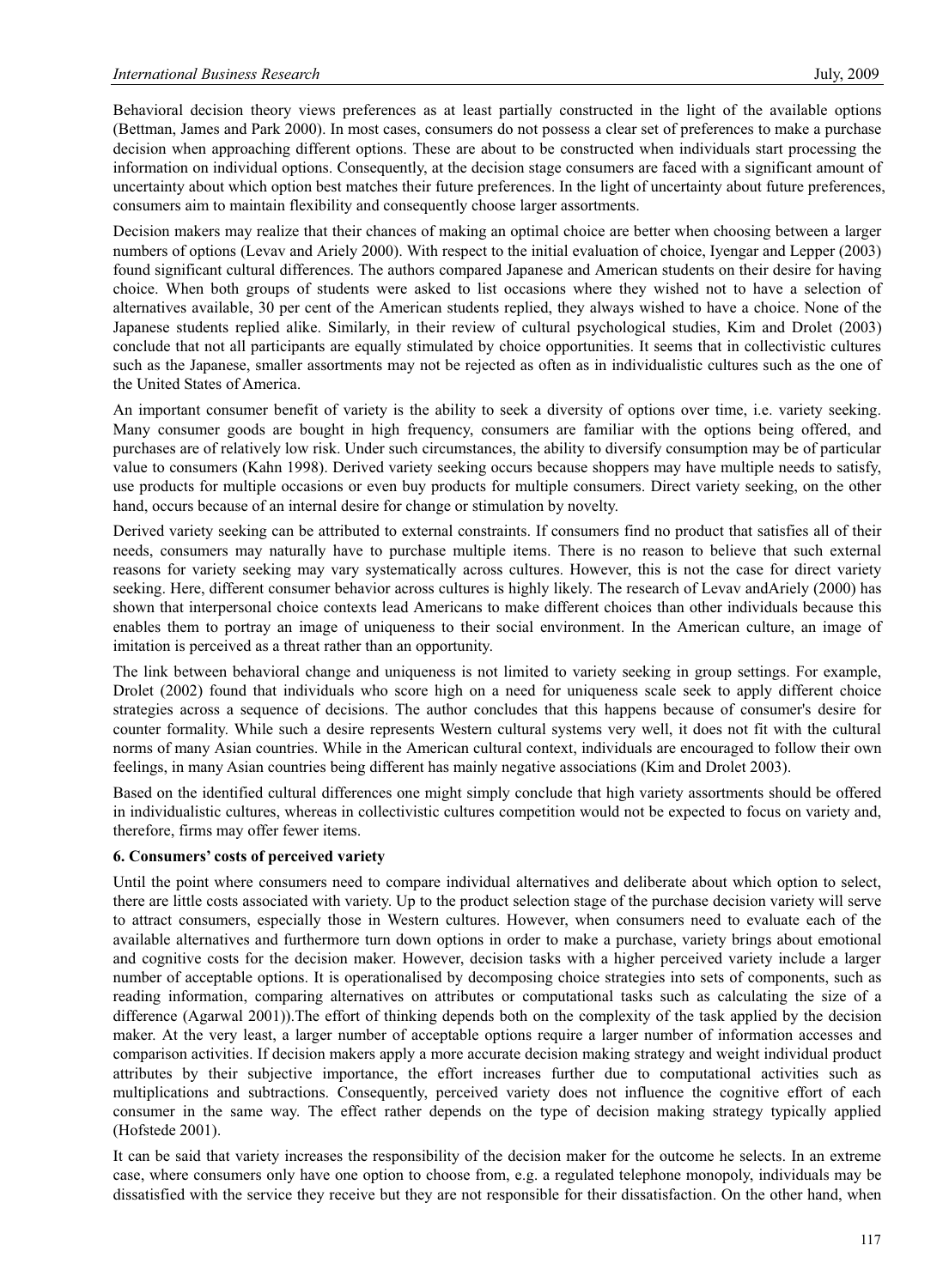Behavioral decision theory views preferences as at least partially constructed in the light of the available options (Bettman, James and Park 2000). In most cases, consumers do not possess a clear set of preferences to make a purchase decision when approaching different options. These are about to be constructed when individuals start processing the information on individual options. Consequently, at the decision stage consumers are faced with a significant amount of uncertainty about which option best matches their future preferences. In the light of uncertainty about future preferences, consumers aim to maintain flexibility and consequently choose larger assortments.

Decision makers may realize that their chances of making an optimal choice are better when choosing between a larger numbers of options (Levav and Ariely 2000). With respect to the initial evaluation of choice, Iyengar and Lepper (2003) found significant cultural differences. The authors compared Japanese and American students on their desire for having choice. When both groups of students were asked to list occasions where they wished not to have a selection of alternatives available, 30 per cent of the American students replied, they always wished to have a choice. None of the Japanese students replied alike. Similarly, in their review of cultural psychological studies, Kim and Drolet (2003) conclude that not all participants are equally stimulated by choice opportunities. It seems that in collectivistic cultures such as the Japanese, smaller assortments may not be rejected as often as in individualistic cultures such as the one of the United States of America.

An important consumer benefit of variety is the ability to seek a diversity of options over time, i.e. variety seeking. Many consumer goods are bought in high frequency, consumers are familiar with the options being offered, and purchases are of relatively low risk. Under such circumstances, the ability to diversify consumption may be of particular value to consumers (Kahn 1998). Derived variety seeking occurs because shoppers may have multiple needs to satisfy, use products for multiple occasions or even buy products for multiple consumers. Direct variety seeking, on the other hand, occurs because of an internal desire for change or stimulation by novelty.

Derived variety seeking can be attributed to external constraints. If consumers find no product that satisfies all of their needs, consumers may naturally have to purchase multiple items. There is no reason to believe that such external reasons for variety seeking may vary systematically across cultures. However, this is not the case for direct variety seeking. Here, different consumer behavior across cultures is highly likely. The research of Levav andAriely (2000) has shown that interpersonal choice contexts lead Americans to make different choices than other individuals because this enables them to portray an image of uniqueness to their social environment. In the American culture, an image of imitation is perceived as a threat rather than an opportunity.

The link between behavioral change and uniqueness is not limited to variety seeking in group settings. For example, Drolet (2002) found that individuals who score high on a need for uniqueness scale seek to apply different choice strategies across a sequence of decisions. The author concludes that this happens because of consumer's desire for counter formality. While such a desire represents Western cultural systems very well, it does not fit with the cultural norms of many Asian countries. While in the American cultural context, individuals are encouraged to follow their own feelings, in many Asian countries being different has mainly negative associations (Kim and Drolet 2003).

Based on the identified cultural differences one might simply conclude that high variety assortments should be offered in individualistic cultures, whereas in collectivistic cultures competition would not be expected to focus on variety and, therefore, firms may offer fewer items.

### **6. Consumers' costs of perceived variety**

Until the point where consumers need to compare individual alternatives and deliberate about which option to select, there are little costs associated with variety. Up to the product selection stage of the purchase decision variety will serve to attract consumers, especially those in Western cultures. However, when consumers need to evaluate each of the available alternatives and furthermore turn down options in order to make a purchase, variety brings about emotional and cognitive costs for the decision maker. However, decision tasks with a higher perceived variety include a larger number of acceptable options. It is operationalised by decomposing choice strategies into sets of components, such as reading information, comparing alternatives on attributes or computational tasks such as calculating the size of a difference (Agarwal 2001)).The effort of thinking depends both on the complexity of the task applied by the decision maker. At the very least, a larger number of acceptable options require a larger number of information accesses and comparison activities. If decision makers apply a more accurate decision making strategy and weight individual product attributes by their subjective importance, the effort increases further due to computational activities such as multiplications and subtractions. Consequently, perceived variety does not influence the cognitive effort of each consumer in the same way. The effect rather depends on the type of decision making strategy typically applied (Hofstede 2001).

It can be said that variety increases the responsibility of the decision maker for the outcome he selects. In an extreme case, where consumers only have one option to choose from, e.g. a regulated telephone monopoly, individuals may be dissatisfied with the service they receive but they are not responsible for their dissatisfaction. On the other hand, when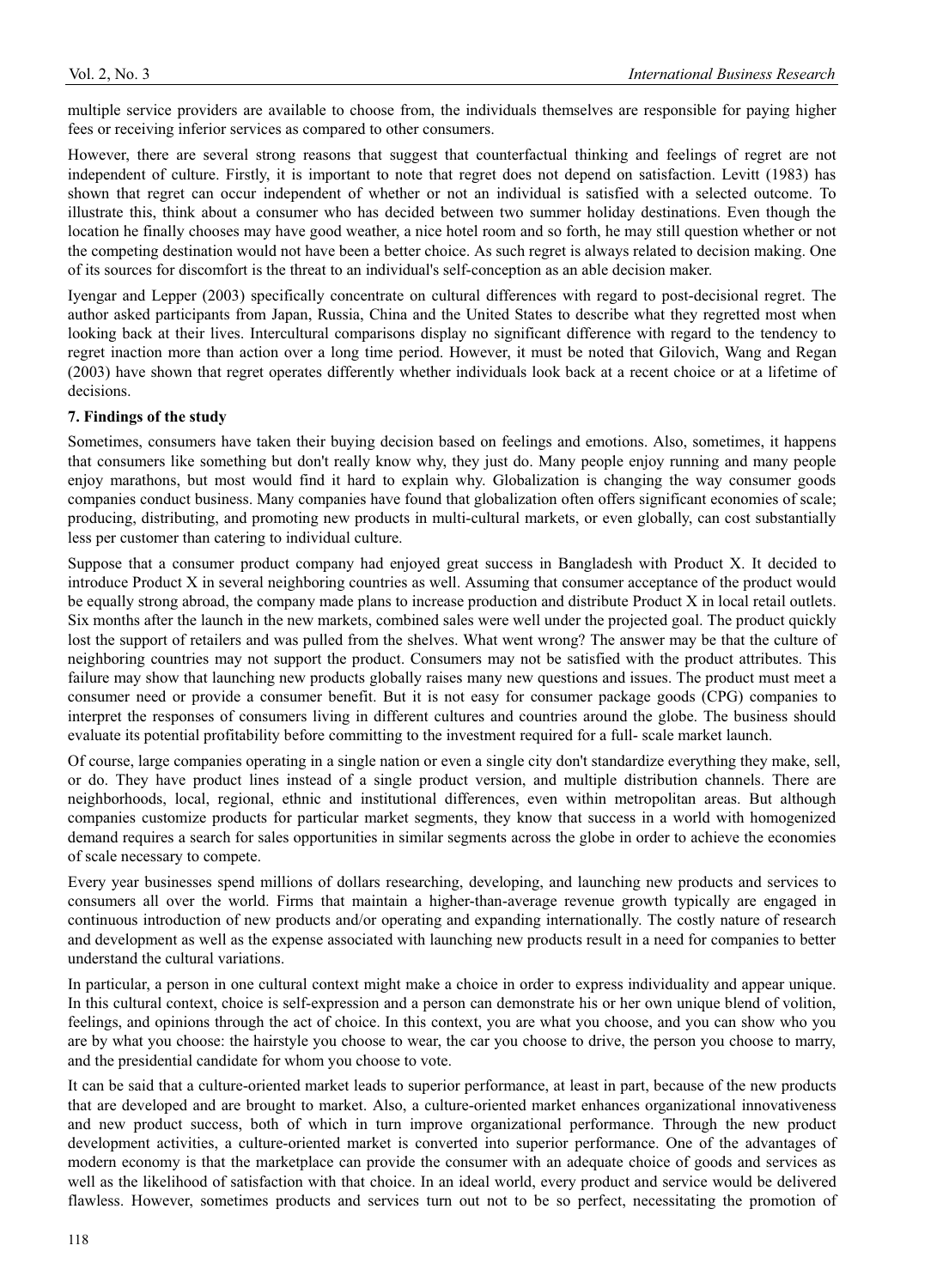multiple service providers are available to choose from, the individuals themselves are responsible for paying higher fees or receiving inferior services as compared to other consumers.

However, there are several strong reasons that suggest that counterfactual thinking and feelings of regret are not independent of culture. Firstly, it is important to note that regret does not depend on satisfaction. Levitt (1983) has shown that regret can occur independent of whether or not an individual is satisfied with a selected outcome. To illustrate this, think about a consumer who has decided between two summer holiday destinations. Even though the location he finally chooses may have good weather, a nice hotel room and so forth, he may still question whether or not the competing destination would not have been a better choice. As such regret is always related to decision making. One of its sources for discomfort is the threat to an individual's self-conception as an able decision maker.

Iyengar and Lepper (2003) specifically concentrate on cultural differences with regard to post-decisional regret. The author asked participants from Japan, Russia, China and the United States to describe what they regretted most when looking back at their lives. Intercultural comparisons display no significant difference with regard to the tendency to regret inaction more than action over a long time period. However, it must be noted that Gilovich, Wang and Regan (2003) have shown that regret operates differently whether individuals look back at a recent choice or at a lifetime of decisions.

#### **7. Findings of the study**

Sometimes, consumers have taken their buying decision based on feelings and emotions. Also, sometimes, it happens that consumers like something but don't really know why, they just do. Many people enjoy running and many people enjoy marathons, but most would find it hard to explain why. Globalization is changing the way consumer goods companies conduct business. Many companies have found that globalization often offers significant economies of scale; producing, distributing, and promoting new products in multi-cultural markets, or even globally, can cost substantially less per customer than catering to individual culture.

Suppose that a consumer product company had enjoyed great success in Bangladesh with Product X. It decided to introduce Product X in several neighboring countries as well. Assuming that consumer acceptance of the product would be equally strong abroad, the company made plans to increase production and distribute Product X in local retail outlets. Six months after the launch in the new markets, combined sales were well under the projected goal. The product quickly lost the support of retailers and was pulled from the shelves. What went wrong? The answer may be that the culture of neighboring countries may not support the product. Consumers may not be satisfied with the product attributes. This failure may show that launching new products globally raises many new questions and issues. The product must meet a consumer need or provide a consumer benefit. But it is not easy for consumer package goods (CPG) companies to interpret the responses of consumers living in different cultures and countries around the globe. The business should evaluate its potential profitability before committing to the investment required for a full- scale market launch.

Of course, large companies operating in a single nation or even a single city don't standardize everything they make, sell, or do. They have product lines instead of a single product version, and multiple distribution channels. There are neighborhoods, local, regional, ethnic and institutional differences, even within metropolitan areas. But although companies customize products for particular market segments, they know that success in a world with homogenized demand requires a search for sales opportunities in similar segments across the globe in order to achieve the economies of scale necessary to compete.

Every year businesses spend millions of dollars researching, developing, and launching new products and services to consumers all over the world. Firms that maintain a higher-than-average revenue growth typically are engaged in continuous introduction of new products and/or operating and expanding internationally. The costly nature of research and development as well as the expense associated with launching new products result in a need for companies to better understand the cultural variations.

In particular, a person in one cultural context might make a choice in order to express individuality and appear unique. In this cultural context, choice is self-expression and a person can demonstrate his or her own unique blend of volition, feelings, and opinions through the act of choice. In this context, you are what you choose, and you can show who you are by what you choose: the hairstyle you choose to wear, the car you choose to drive, the person you choose to marry, and the presidential candidate for whom you choose to vote.

It can be said that a culture-oriented market leads to superior performance, at least in part, because of the new products that are developed and are brought to market. Also, a culture-oriented market enhances organizational innovativeness and new product success, both of which in turn improve organizational performance. Through the new product development activities, a culture-oriented market is converted into superior performance. One of the advantages of modern economy is that the marketplace can provide the consumer with an adequate choice of goods and services as well as the likelihood of satisfaction with that choice. In an ideal world, every product and service would be delivered flawless. However, sometimes products and services turn out not to be so perfect, necessitating the promotion of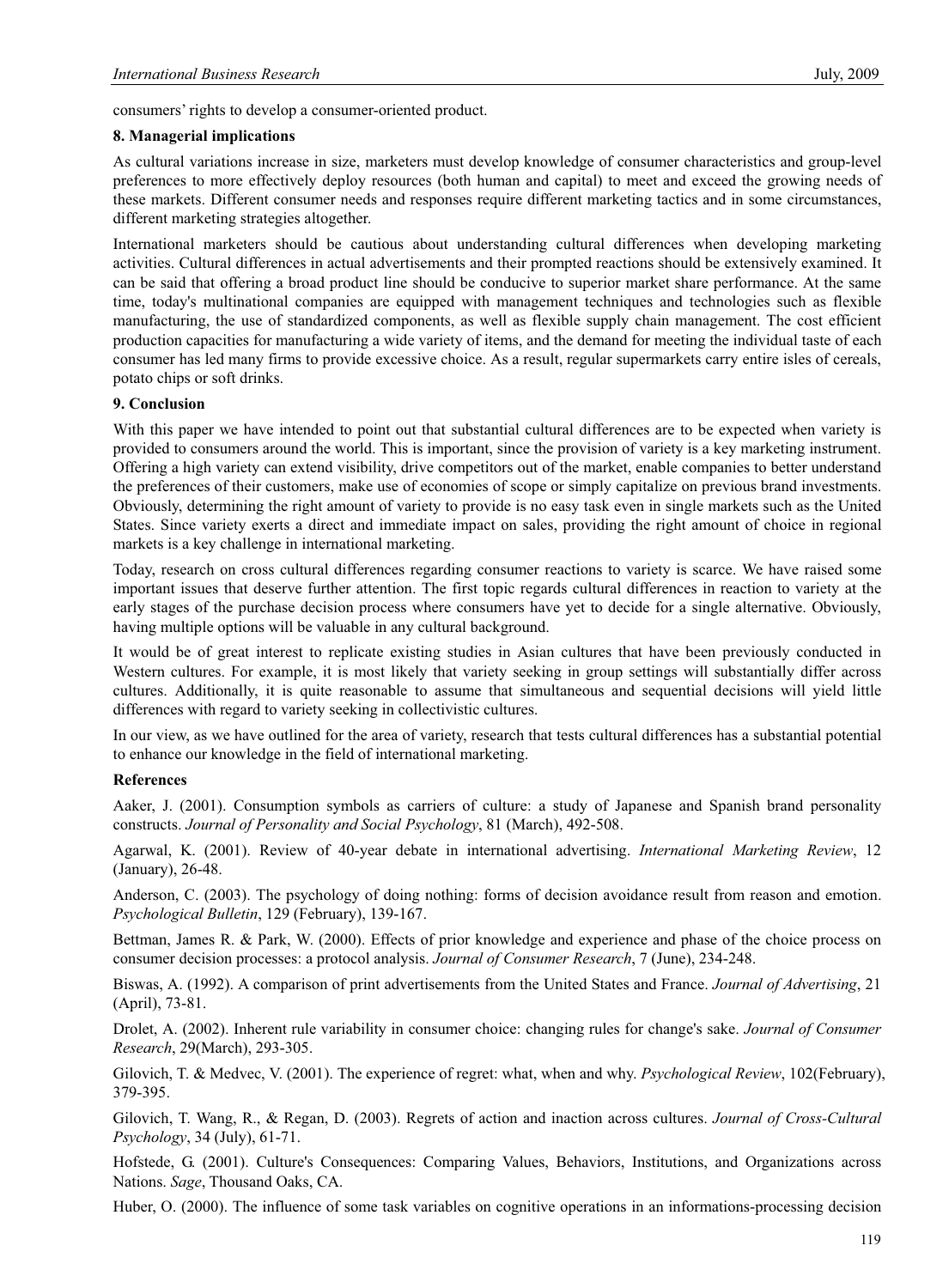consumers' rights to develop a consumer-oriented product.

## **8. Managerial implications**

As cultural variations increase in size, marketers must develop knowledge of consumer characteristics and group-level preferences to more effectively deploy resources (both human and capital) to meet and exceed the growing needs of these markets. Different consumer needs and responses require different marketing tactics and in some circumstances, different marketing strategies altogether.

International marketers should be cautious about understanding cultural differences when developing marketing activities. Cultural differences in actual advertisements and their prompted reactions should be extensively examined. It can be said that offering a broad product line should be conducive to superior market share performance. At the same time, today's multinational companies are equipped with management techniques and technologies such as flexible manufacturing, the use of standardized components, as well as flexible supply chain management. The cost efficient production capacities for manufacturing a wide variety of items, and the demand for meeting the individual taste of each consumer has led many firms to provide excessive choice. As a result, regular supermarkets carry entire isles of cereals, potato chips or soft drinks.

# **9. Conclusion**

With this paper we have intended to point out that substantial cultural differences are to be expected when variety is provided to consumers around the world. This is important, since the provision of variety is a key marketing instrument. Offering a high variety can extend visibility, drive competitors out of the market, enable companies to better understand the preferences of their customers, make use of economies of scope or simply capitalize on previous brand investments. Obviously, determining the right amount of variety to provide is no easy task even in single markets such as the United States. Since variety exerts a direct and immediate impact on sales, providing the right amount of choice in regional markets is a key challenge in international marketing.

Today, research on cross cultural differences regarding consumer reactions to variety is scarce. We have raised some important issues that deserve further attention. The first topic regards cultural differences in reaction to variety at the early stages of the purchase decision process where consumers have yet to decide for a single alternative. Obviously, having multiple options will be valuable in any cultural background.

It would be of great interest to replicate existing studies in Asian cultures that have been previously conducted in Western cultures. For example, it is most likely that variety seeking in group settings will substantially differ across cultures. Additionally, it is quite reasonable to assume that simultaneous and sequential decisions will yield little differences with regard to variety seeking in collectivistic cultures.

In our view, as we have outlined for the area of variety, research that tests cultural differences has a substantial potential to enhance our knowledge in the field of international marketing.

#### **References**

Aaker, J. (2001). Consumption symbols as carriers of culture: a study of Japanese and Spanish brand personality constructs. *Journal of Personality and Social Psychology*, 81 (March), 492-508.

Agarwal, K. (2001). Review of 40-year debate in international advertising. *International Marketing Review*, 12 (January), 26-48.

Anderson, C. (2003). The psychology of doing nothing: forms of decision avoidance result from reason and emotion. *Psychological Bulletin*, 129 (February), 139-167.

Bettman, James R. & Park, W. (2000). Effects of prior knowledge and experience and phase of the choice process on consumer decision processes: a protocol analysis. *Journal of Consumer Research*, 7 (June), 234-248.

Biswas, A. (1992). A comparison of print advertisements from the United States and France. *Journal of Advertising*, 21 (April), 73-81.

Drolet, A. (2002). Inherent rule variability in consumer choice: changing rules for change's sake. *Journal of Consumer Research*, 29(March), 293-305.

Gilovich, T. & Medvec, V. (2001). The experience of regret: what, when and why. *Psychological Review*, 102(February), 379-395.

Gilovich, T. Wang, R., & Regan, D. (2003). Regrets of action and inaction across cultures. *Journal of Cross-Cultural Psychology*, 34 (July), 61-71.

Hofstede, G. (2001). Culture's Consequences: Comparing Values, Behaviors, Institutions, and Organizations across Nations. *Sage*, Thousand Oaks, CA.

Huber, O. (2000). The influence of some task variables on cognitive operations in an informations-processing decision